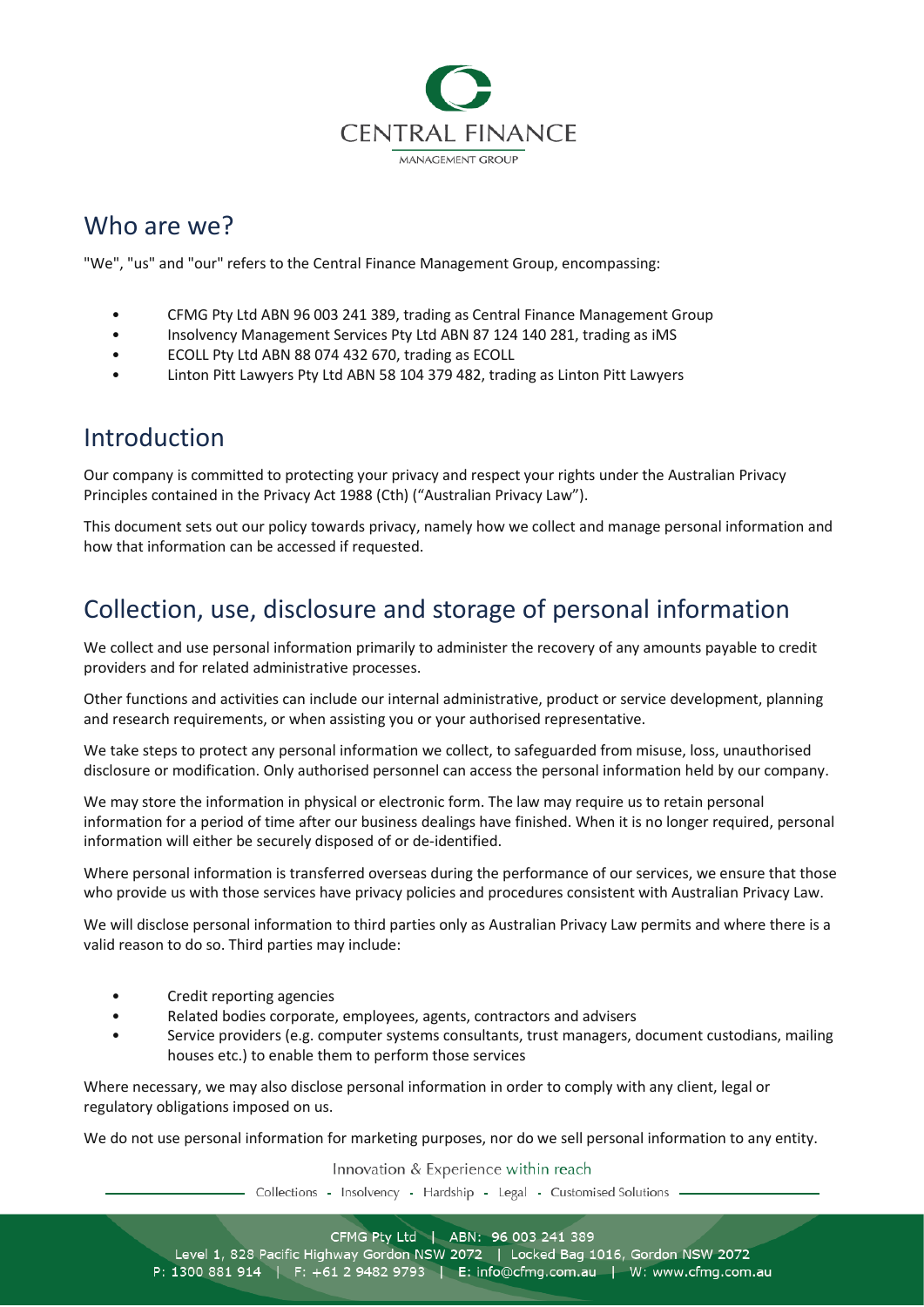

## Who are we?

"We", "us" and "our" refers to the Central Finance Management Group, encompassing:

- CFMG Pty Ltd ABN 96 003 241 389, trading as Central Finance Management Group
- Insolvency Management Services Pty Ltd ABN 87 124 140 281, trading as iMS
- ECOLL Pty Ltd ABN 88 074 432 670, trading as ECOLL
- Linton Pitt Lawyers Pty Ltd ABN 58 104 379 482, trading as Linton Pitt Lawyers

#### Introduction

Our company is committed to protecting your privacy and respect your rights under the Australian Privacy Principles contained in the Privacy Act 1988 (Cth) ("Australian Privacy Law").

This document sets out our policy towards privacy, namely how we collect and manage personal information and how that information can be accessed if requested.

## Collection, use, disclosure and storage of personal information

We collect and use personal information primarily to administer the recovery of any amounts payable to credit providers and for related administrative processes.

Other functions and activities can include our internal administrative, product or service development, planning and research requirements, or when assisting you or your authorised representative.

We take steps to protect any personal information we collect, to safeguarded from misuse, loss, unauthorised disclosure or modification. Only authorised personnel can access the personal information held by our company.

We may store the information in physical or electronic form. The law may require us to retain personal information for a period of time after our business dealings have finished. When it is no longer required, personal information will either be securely disposed of or de-identified.

Where personal information is transferred overseas during the performance of our services, we ensure that those who provide us with those services have privacy policies and procedures consistent with Australian Privacy Law.

We will disclose personal information to third parties only as Australian Privacy Law permits and where there is a valid reason to do so. Third parties may include:

- Credit reporting agencies
- Related bodies corporate, employees, agents, contractors and advisers
- Service providers (e.g. computer systems consultants, trust managers, document custodians, mailing houses etc.) to enable them to perform those services

Where necessary, we may also disclose personal information in order to comply with any client, legal or regulatory obligations imposed on us.

We do not use personal information for marketing purposes, nor do we sell personal information to any entity.

Innovation & Experience within reach

- Collections - Insolvency - Hardship - Legal - Customised Solutions -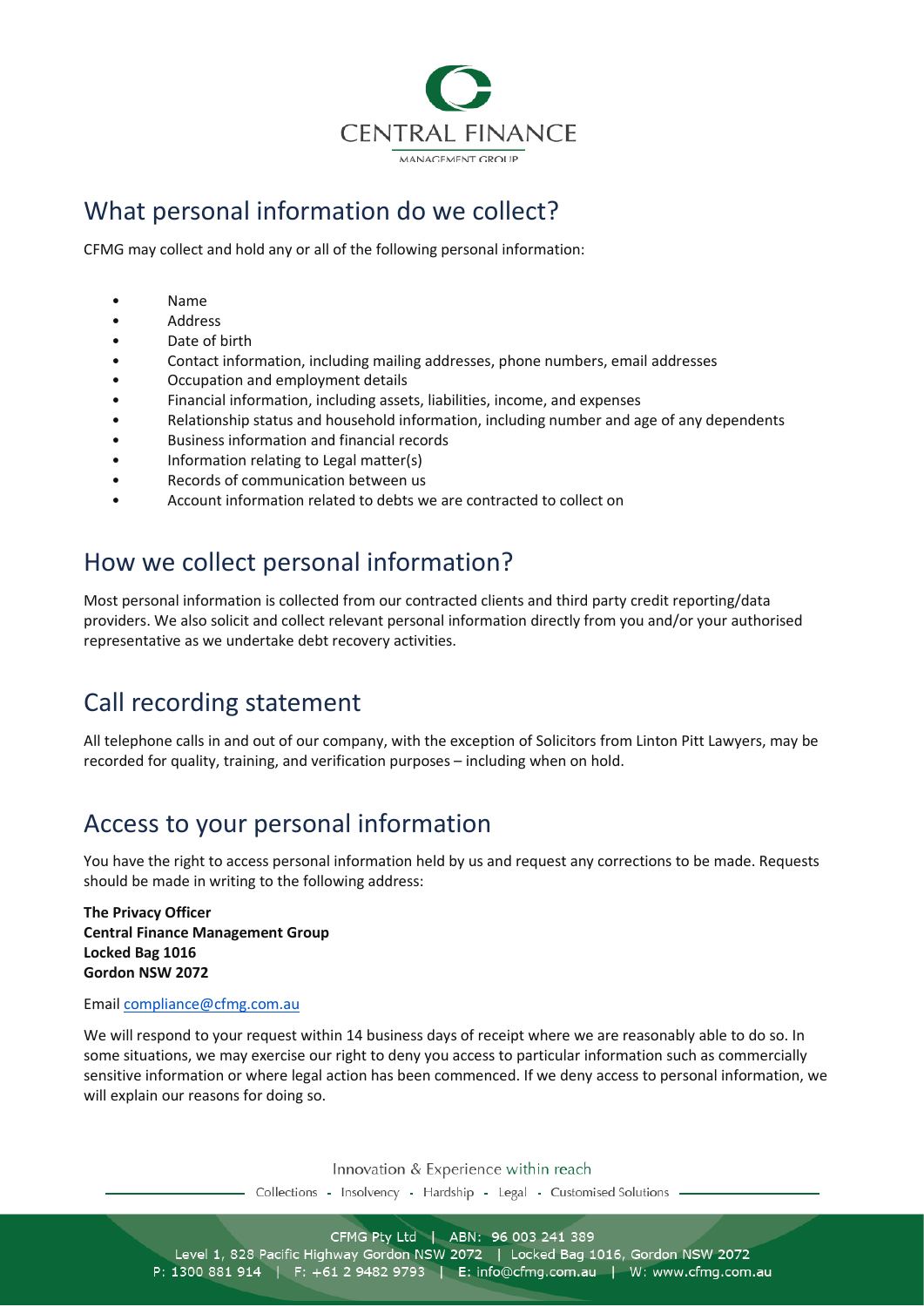

## What personal information do we collect?

CFMG may collect and hold any or all of the following personal information:

- Name
- Address
- Date of birth
- Contact information, including mailing addresses, phone numbers, email addresses
- Occupation and employment details
- Financial information, including assets, liabilities, income, and expenses
- Relationship status and household information, including number and age of any dependents
- Business information and financial records
- Information relating to Legal matter(s)
- Records of communication between us
- Account information related to debts we are contracted to collect on

## How we collect personal information?

Most personal information is collected from our contracted clients and third party credit reporting/data providers. We also solicit and collect relevant personal information directly from you and/or your authorised representative as we undertake debt recovery activities.

# Call recording statement

All telephone calls in and out of our company, with the exception of Solicitors from Linton Pitt Lawyers, may be recorded for quality, training, and verification purposes – including when on hold.

## Access to your personal information

You have the right to access personal information held by us and request any corrections to be made. Requests should be made in writing to the following address:

**The Privacy Officer Central Finance Management Group Locked Bag 1016 Gordon NSW 2072**

#### Email [compliance@cfmg.com.au](mailto:compliance@cfmg.com.au)

We will respond to your request within 14 business days of receipt where we are reasonably able to do so. In some situations, we may exercise our right to deny you access to particular information such as commercially sensitive information or where legal action has been commenced. If we deny access to personal information, we will explain our reasons for doing so.

Innovation & Experience within reach

- Collections - Insolvency - Hardship - Legal - Customised Solutions

CFMG Pty Ltd | ABN: 96 003 241 389 Level 1, 828 Pacific Highway Gordon NSW 2072 | Locked Bag 1016, Gordon NSW 2072 P: 1300 881 914 | F: +61 2 9482 9793 | E: info@cfmg.com.au | W: www.cfmg.com.au